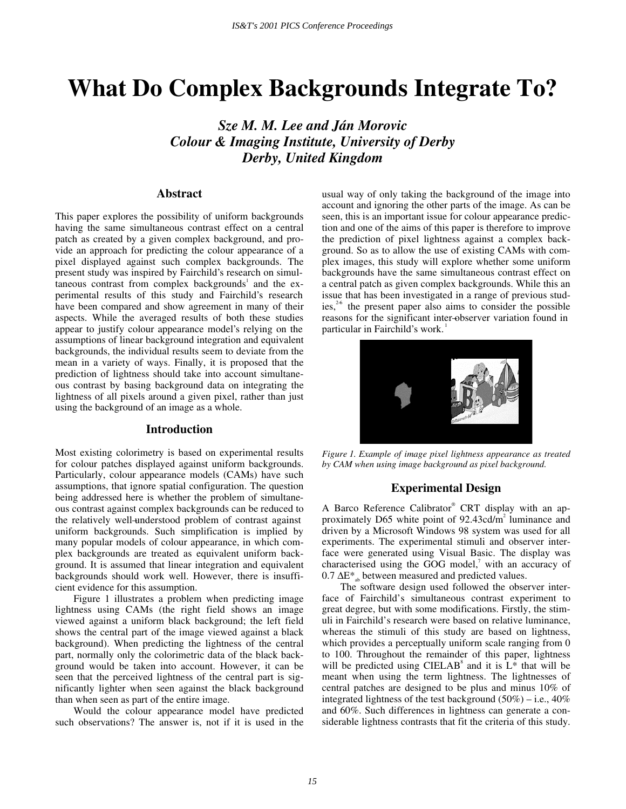# **What Do Complex Backgrounds Integrate To?**

*Sze M. M. Lee and Ján Morovic Colour & Imaging Institute, University of Derby Derby, United Kingdom* 

# **Abstract**

This paper explores the possibility of uniform backgrounds having the same simultaneous contrast effect on a central patch as created by a given complex background, and provide an approach for predicting the colour appearance of a pixel displayed against such complex backgrounds. The present study was inspired by Fairchild's research on simultaneous contrast from complex backgrounds<sup>1</sup> and the experimental results of this study and Fairchild's research have been compared and show agreement in many of their aspects. While the averaged results of both these studies appear to justify colour appearance model's relying on the assumptions of linear background integration and equivalent backgrounds, the individual results seem to deviate from the mean in a variety of ways. Finally, it is proposed that the prediction of lightness should take into account simultaneous contrast by basing background data on integrating the lightness of all pixels around a given pixel, rather than just using the background of an image as a whole.

## **Introduction**

Most existing colorimetry is based on experimental results for colour patches displayed against uniform backgrounds. Particularly, colour appearance models (CAMs) have such assumptions, that ignore spatial configuration. The question being addressed here is whether the problem of simultaneous contrast against complex backgrounds can be reduced to the relatively well–understood problem of contrast against uniform backgrounds. Such simplification is implied by many popular models of colour appearance, in which complex backgrounds are treated as equivalent uniform background. It is assumed that linear integration and equivalent backgrounds should work well. However, there is insufficient evidence for this assumption.

Figure 1 illustrates a problem when predicting image lightness using CAMs (the right field shows an image viewed against a uniform black background; the left field shows the central part of the image viewed against a black background). When predicting the lightness of the central part, normally only the colorimetric data of the black background would be taken into account. However, it can be seen that the perceived lightness of the central part is significantly lighter when seen against the black background than when seen as part of the entire image.

Would the colour appearance model have predicted such observations? The answer is, not if it is used in the usual way of only taking the background of the image into account and ignoring the other parts of the image. As can be seen, this is an important issue for colour appearance prediction and one of the aims of this paper is therefore to improve the prediction of pixel lightness against a complex background. So as to allow the use of existing CAMs with complex images, this study will explore whether some uniform backgrounds have the same simultaneous contrast effect on a central patch as given complex backgrounds. While this an issue that has been investigated in a range of previous studies, $26$  the present paper also aims to consider the possible reasons for the significant inter–observer variation found in particular in Fairchild's work.



*Figure 1. Example of image pixel lightness appearance as treated by CAM when using image background as pixel background.* 

# **Experimental Design**

A Barco Reference Calibrator® CRT display with an approximately D65 white point of  $92.43 \text{cd/m}^2$  luminance and driven by a Microsoft Windows 98 system was used for all experiments. The experimental stimuli and observer interface were generated using Visual Basic. The display was characterised using the GOG model, $\alpha$  with an accuracy of 0.7  $\Delta E^*$ <sub>ab</sub> between measured and predicted values.

The software design used followed the observer interface of Fairchild's simultaneous contrast experiment to great degree, but with some modifications. Firstly, the stimuli in Fairchild's research were based on relative luminance, whereas the stimuli of this study are based on lightness, which provides a perceptually uniform scale ranging from 0 to 100. Throughout the remainder of this paper, lightness will be predicted using CIELAB<sup>8</sup> and it is  $L^*$  that will be meant when using the term lightness. The lightnesses of central patches are designed to be plus and minus 10% of integrated lightness of the test background  $(50\%)$  – i.e.,  $40\%$ and 60%. Such differences in lightness can generate a considerable lightness contrasts that fit the criteria of this study.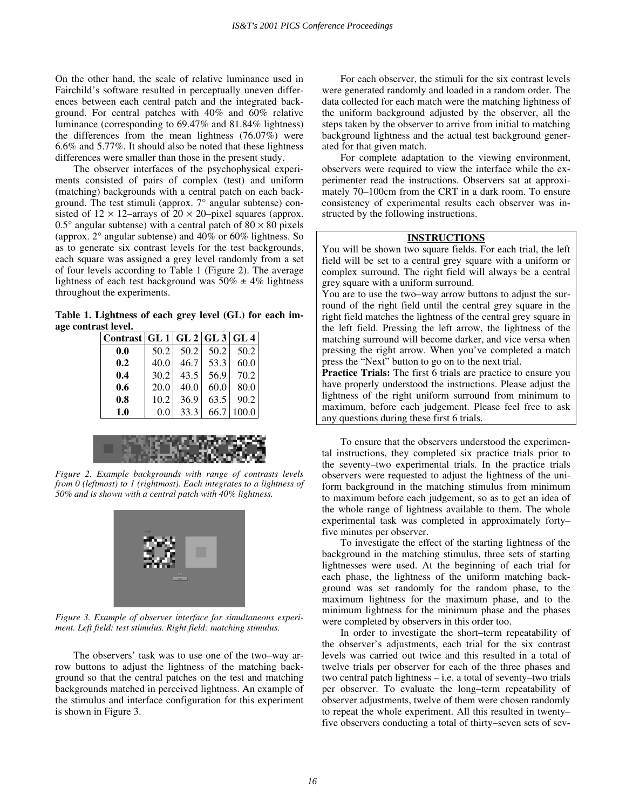On the other hand, the scale of relative luminance used in Fairchild's software resulted in perceptually uneven differences between each central patch and the integrated background. For central patches with 40% and 60% relative luminance (corresponding to 69.47% and 81.84% lightness) the differences from the mean lightness (76.07%) were 6.6% and 5.77%. It should also be noted that these lightness differences were smaller than those in the present study.

The observer interfaces of the psychophysical experiments consisted of pairs of complex (test) and uniform (matching) backgrounds with a central patch on each background. The test stimuli (approx. 7° angular subtense) consisted of  $12 \times 12$ –arrays of  $20 \times 20$ –pixel squares (approx. 0.5° angular subtense) with a central patch of  $80 \times 80$  pixels (approx. 2° angular subtense) and 40% or 60% lightness. So as to generate six contrast levels for the test backgrounds, each square was assigned a grey level randomly from a set of four levels according to Table 1 (Figure 2). The average lightness of each test background was  $50\% \pm 4\%$  lightness throughout the experiments.

**Table 1. Lightness of each grey level (GL) for each image contrast level.** 

| 50.2 | 50.2 | 50.2 | 50.2                                 |
|------|------|------|--------------------------------------|
| 40.0 | 46.7 | 53.3 | 60.0                                 |
| 30.2 | 43.5 | 56.9 | 70.2                                 |
| 20.0 | 40.0 | 60.0 | 80.0                                 |
| 10.2 | 36.9 | 63.5 | 90.2                                 |
| 0.0  | 33.3 | 66.7 | 100.0                                |
|      |      |      | Contrast   GL 1   GL 2   GL 3   GL 4 |



*Figure 2. Example backgrounds with range of contrasts levels from 0 (leftmost) to 1 (rightmost). Each integrates to a lightness of 50% and is shown with a central patch with 40% lightness.* 



*Figure 3. Example of observer interface for simultaneous experiment. Left field: test stimulus. Right field: matching stimulus.* 

The observers' task was to use one of the two–way arrow buttons to adjust the lightness of the matching background so that the central patches on the test and matching backgrounds matched in perceived lightness. An example of the stimulus and interface configuration for this experiment is shown in Figure 3.

For each observer, the stimuli for the six contrast levels were generated randomly and loaded in a random order. The data collected for each match were the matching lightness of the uniform background adjusted by the observer, all the steps taken by the observer to arrive from initial to matching background lightness and the actual test background generated for that given match.

For complete adaptation to the viewing environment, observers were required to view the interface while the experimenter read the instructions. Observers sat at approximately 70–100cm from the CRT in a dark room. To ensure consistency of experimental results each observer was instructed by the following instructions.

## **INSTRUCTIONS**

You will be shown two square fields. For each trial, the left field will be set to a central grey square with a uniform or complex surround. The right field will always be a central grey square with a uniform surround.

You are to use the two–way arrow buttons to adjust the surround of the right field until the central grey square in the right field matches the lightness of the central grey square in the left field. Pressing the left arrow, the lightness of the matching surround will become darker, and vice versa when pressing the right arrow. When you've completed a match press the "Next" button to go on to the next trial.

**Practice Trials:** The first 6 trials are practice to ensure you have properly understood the instructions. Please adjust the lightness of the right uniform surround from minimum to maximum, before each judgement. Please feel free to ask any questions during these first 6 trials.

To ensure that the observers understood the experimental instructions, they completed six practice trials prior to the seventy–two experimental trials. In the practice trials observers were requested to adjust the lightness of the uniform background in the matching stimulus from minimum to maximum before each judgement, so as to get an idea of the whole range of lightness available to them. The whole experimental task was completed in approximately forty– five minutes per observer.

To investigate the effect of the starting lightness of the background in the matching stimulus, three sets of starting lightnesses were used. At the beginning of each trial for each phase, the lightness of the uniform matching background was set randomly for the random phase, to the maximum lightness for the maximum phase, and to the minimum lightness for the minimum phase and the phases were completed by observers in this order too.

In order to investigate the short– term repeatability of the observer's adjustments, each trial for the six contrast levels was carried out twice and this resulted in a total of twelve trials per observer for each of the three phases and two central patch lightness  $-$  i.e. a total of seventy–two trials per observer. To evaluate the long-term repeatability of observer adjustments, twelve of them were chosen randomly to repeat the whole experiment. All this resulted in twenty– five observers conducting a total of thirty–seven sets of sev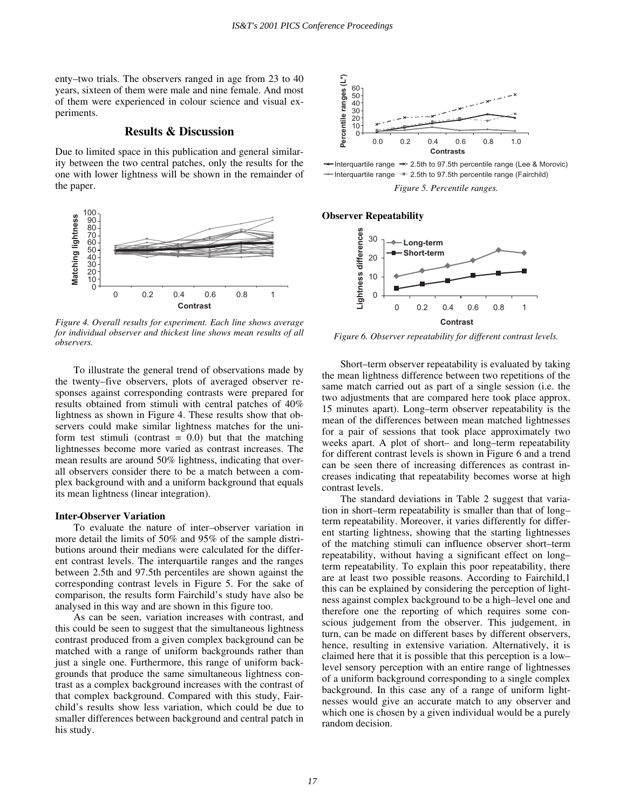enty–two trials. The observers ranged in age from 23 to 40 years, sixteen of them were male and nine female. And most of them were experienced in colour science and visual experiments.

# **Results & Discussion**

Due to limited space in this publication and general similarity between the two central patches, only the results for the one with lower lightness will be shown in the remainder of the paper.



*Figure 4. Overall results for experiment. Each line shows average for individual observer and thickest line shows mean results of all observers.* 

To illustrate the general trend of observations made by the twenty–five observers, plots of averaged observer responses against corresponding contrasts were prepared for results obtained from stimuli with central patches of 40% lightness as shown in Figure 4. These results show that observers could make similar lightness matches for the uniform test stimuli (contrast  $= 0.0$ ) but that the matching lightnesses become more varied as contrast increases. The mean results are around 50% lightness, indicating that overall observers consider there to be a match between a complex background with and a uniform background that equals its mean lightness (linear integration).

## **Inter–Observer Variation**

To evaluate the nature of inter-observer variation in more detail the limits of 50% and 95% of the sample distributions around their medians were calculated for the different contrast levels. The interquartile ranges and the ranges between 2.5th and 97.5th percentiles are shown against the corresponding contrast levels in Figure 5. For the sake of comparison, the results form Fairchild's study have also be analysed in this way and are shown in this figure too.

As can be seen, variation increases with contrast, and this could be seen to suggest that the simultaneous lightness contrast produced from a given complex background can be matched with a range of uniform backgrounds rather than just a single one. Furthermore, this range of uniform backgrounds that produce the same simultaneous lightness contrast as a complex background increases with the contrast of that complex background. Compared with this study, Fairchild's results show less variation, which could be due to smaller differences between background and central patch in his study.



Interquartile range  $\rightarrow$  2.5th to 97.5th percentile range (Lee & Morovic)  $\rightarrow$  Interquartile range  $-$  2.5th to 97.5th percentile range (Fairchild)

*Figure 5. Percentile ranges.* 

#### **Observer Repeatability**



*Figure 6. Observer repeatability for different contrast levels.* 

Short–term observer repeatability is evaluated by taking the mean lightness difference between two repetitions of the same match carried out as part of a single session (i.e. the two adjustments that are compared here took place approx. 15 minutes apart). Long– term observer repeatability is the mean of the differences between mean matched lightnesses for a pair of sessions that took place approximately two weeks apart. A plot of short- and long-term repeatability for different contrast levels is shown in Figure 6 and a trend can be seen there of increasing differences as contrast increases indicating that repeatability becomes worse at high contrast levels.

The standard deviations in Table 2 suggest that variation in short–term repeatability is smaller than that of long– term repeatability. Moreover, it varies differently for different starting lightness, showing that the starting lightnesses of the matching stimuli can influence observer short– term repeatability, without having a significant effect on long– term repeatability. To explain this poor repeatability, there are at least two possible reasons. According to Fairchild,1 this can be explained by considering the perception of lightness against complex background to be a high– level one and therefore one the reporting of which requires some conscious judgement from the observer. This judgement, in turn, can be made on different bases by different observers, hence, resulting in extensive variation. Alternatively, it is claimed here that it is possible that this perception is a low– level sensory perception with an entire range of lightnesses of a uniform background corresponding to a single complex background. In this case any of a range of uniform lightnesses would give an accurate match to any observer and which one is chosen by a given individual would be a purely random decision.